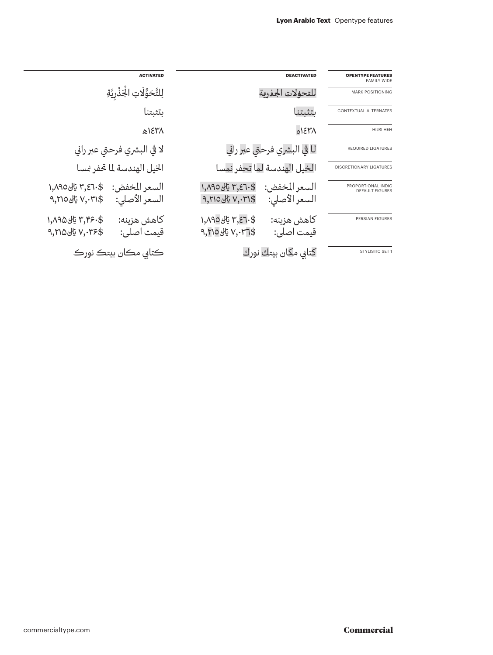|                                                |                                                                              | <b>ACTIVATED</b><br>لِلتَّحَوُّلَاتِ الْجَذْرِيَّةِ                               |  |
|------------------------------------------------|------------------------------------------------------------------------------|-----------------------------------------------------------------------------------|--|
| <b>OPENTYPE FEATURES</b><br><b>FAMILY WIDE</b> | <b>DEACTIVATED</b>                                                           |                                                                                   |  |
| <b>MARK POSITIONING</b>                        | للقحؤلات الجذرية                                                             |                                                                                   |  |
| CONTEXTUAL ALTERNATES                          | بتثبتنا                                                                      | بتثبتنا                                                                           |  |
| HIJRI HEH                                      | 01310                                                                        | ٢٦٤٣٨هـ                                                                           |  |
| <b>REQUIRED LIGATURES</b>                      | لا في البشري فرحتى عبر راني                                                  | لا في البشري فرحتى عبر راني                                                       |  |
| DISCRETIONARY LIGATURES                        | الخيل الهندسة لما تحفر نمسا                                                  | الخيل الهندسة لما تحفر نمسا                                                       |  |
| PROPORTIONAL INDIC<br><b>DEFAULT FIGURES</b>   | \$٣,٤٦٠ يالى١,٨٩٥<br>السعر المخفض:<br>$9,710$ یل $V,71$ \$<br>السعر الأصلى:  | \$٢,٤٦٠ يالى١,٨٩٥<br>السعر المخفض:<br>$9,$ ۲۱۵ $45$ $V,$ ۰۳۱ $$$<br>السعر الأصلى: |  |
| <b>PERSIAN FIGURES</b>                         | \$.7.3,7 يالى ١,٨٩٥<br>كاهش هزينه:<br>$9, 10$ یلی $V, 1.71$ \$<br>قيمت اصلي: | \$٢,٣۶٠ يالى ١,٨٩۵<br>كاهش هزينه:<br>$9,710$ یل $V,75$<br>قيمت اصلي:              |  |
| STYLISTIC SET 1                                | كتابي مكان بيتك نورك                                                         | ڪتابي مڪان بيتڪ نورڪ                                                              |  |

 $\overline{\phantom{a}}$